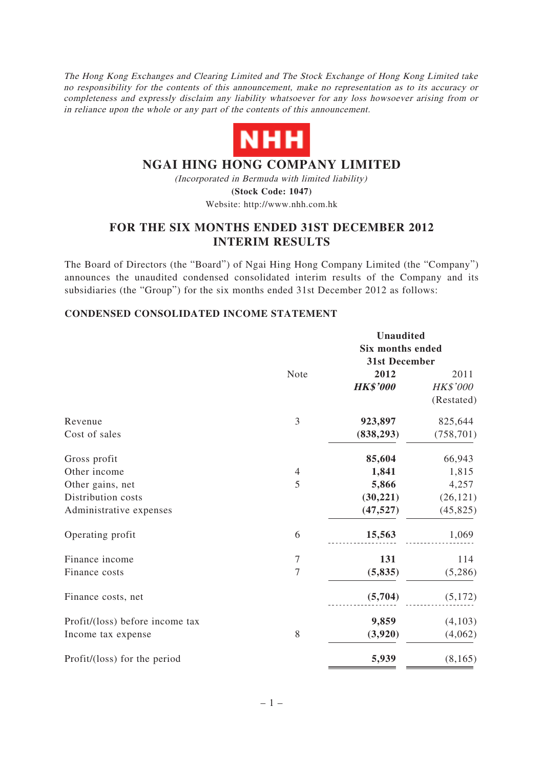The Hong Kong Exchanges and Clearing Limited and The Stock Exchange of Hong Kong Limited take no responsibility for the contents of this announcement, make no representation as to its accuracy or completeness and expressly disclaim any liability whatsoever for any loss howsoever arising from or in reliance upon the whole or any part of the contents of this announcement.



# **NGAI HING HONG COMPANY LIMITED**

(Incorporated in Bermuda with limited liability) **(Stock Code: 1047)**

# Website: http://www.nhh.com.hk

# **FOR THE SIX MONTHS ENDED 31ST DECEMBER 2012 INTERIM RESULTS**

The Board of Directors (the "Board") of Ngai Hing Hong Company Limited (the "Company") announces the unaudited condensed consolidated interim results of the Company and its subsidiaries (the "Group") for the six months ended 31st December 2012 as follows:

### **CONDENSED CONSOLIDATED INCOME STATEMENT**

|                                 |                  | <b>Unaudited</b>        |            |  |
|---------------------------------|------------------|-------------------------|------------|--|
|                                 |                  | <b>Six months ended</b> |            |  |
|                                 |                  | 31st December           |            |  |
|                                 | Note             | 2012                    | 2011       |  |
|                                 |                  | <b>HK\$'000</b>         | HK\$'000   |  |
|                                 |                  |                         | (Restated) |  |
| Revenue                         | 3                | 923,897                 | 825,644    |  |
| Cost of sales                   |                  | (838, 293)              | (758, 701) |  |
| Gross profit                    |                  | 85,604                  | 66,943     |  |
| Other income                    | $\overline{4}$   | 1,841                   | 1,815      |  |
| Other gains, net                | 5                | 5,866                   | 4,257      |  |
| Distribution costs              |                  | (30, 221)               | (26, 121)  |  |
| Administrative expenses         |                  | (47, 527)               | (45, 825)  |  |
| Operating profit                | 6                | 15,563                  | 1,069      |  |
| Finance income                  | $\boldsymbol{7}$ | 131                     | 114        |  |
| Finance costs                   | $\overline{7}$   | (5, 835)                | (5,286)    |  |
| Finance costs, net              |                  | (5,704)                 | (5,172)    |  |
| Profit/(loss) before income tax |                  | 9,859                   | (4,103)    |  |
| Income tax expense              | 8                | (3,920)                 | (4,062)    |  |
| Profit/(loss) for the period    |                  | 5,939                   | (8, 165)   |  |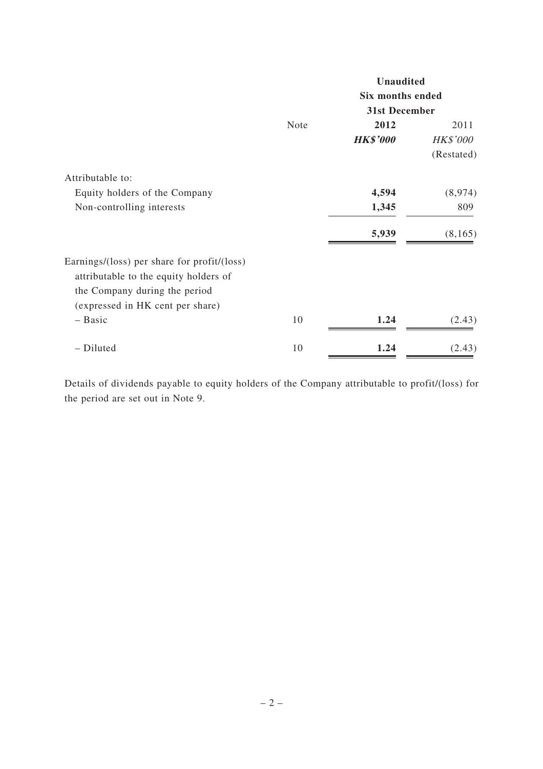|                                             |      | <b>Unaudited</b> |                 |  |
|---------------------------------------------|------|------------------|-----------------|--|
|                                             |      | Six months ended |                 |  |
|                                             |      | 31st December    |                 |  |
|                                             | Note | 2012             | 2011            |  |
|                                             |      | <b>HK\$'000</b>  | <b>HK\$'000</b> |  |
|                                             |      |                  | (Restated)      |  |
| Attributable to:                            |      |                  |                 |  |
| Equity holders of the Company               |      | 4,594            | (8,974)         |  |
| Non-controlling interests                   |      | 1,345            | 809             |  |
|                                             |      | 5,939            | (8,165)         |  |
| Earnings/(loss) per share for profit/(loss) |      |                  |                 |  |
| attributable to the equity holders of       |      |                  |                 |  |
| the Company during the period               |      |                  |                 |  |
| (expressed in HK cent per share)            |      |                  |                 |  |
| $-$ Basic                                   | 10   | 1.24             | (2.43)          |  |
| - Diluted                                   | 10   | 1.24             | (2.43)          |  |

Details of dividends payable to equity holders of the Company attributable to profit/(loss) for the period are set out in Note 9.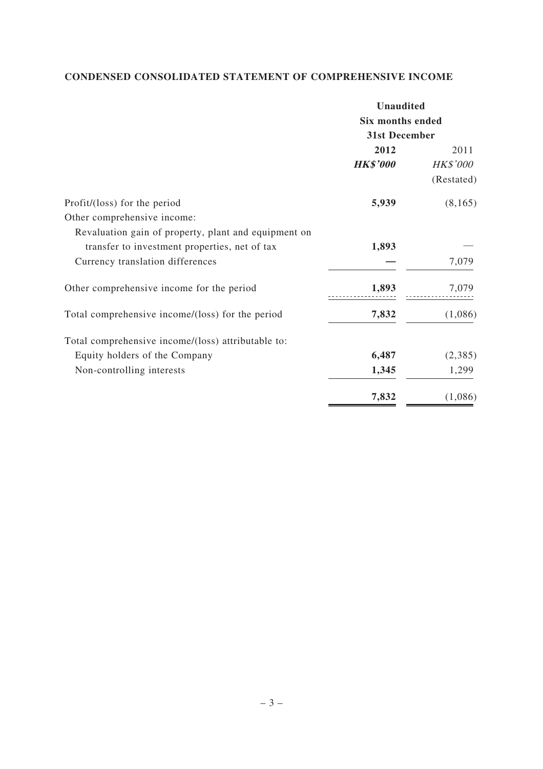# **CONDENSED CONSOLIDATED STATEMENT OF COMPREHENSIVE INCOME**

|                                                      | <b>Unaudited</b>        |                 |  |
|------------------------------------------------------|-------------------------|-----------------|--|
|                                                      | <b>Six months ended</b> |                 |  |
|                                                      | 31st December           |                 |  |
|                                                      | 2012                    | 2011            |  |
|                                                      | <b>HK\$'000</b>         | <b>HK\$'000</b> |  |
|                                                      |                         | (Restated)      |  |
| Profit/(loss) for the period                         | 5,939                   | (8,165)         |  |
| Other comprehensive income:                          |                         |                 |  |
| Revaluation gain of property, plant and equipment on |                         |                 |  |
| transfer to investment properties, net of tax        | 1,893                   |                 |  |
| Currency translation differences                     |                         | 7,079           |  |
| Other comprehensive income for the period            | 1,893                   | 7,079           |  |
| Total comprehensive income/(loss) for the period     | 7,832                   | (1,086)         |  |
| Total comprehensive income/(loss) attributable to:   |                         |                 |  |
| Equity holders of the Company                        | 6,487                   | (2,385)         |  |
| Non-controlling interests                            | 1,345                   | 1,299           |  |
|                                                      | 7,832                   | (1,086)         |  |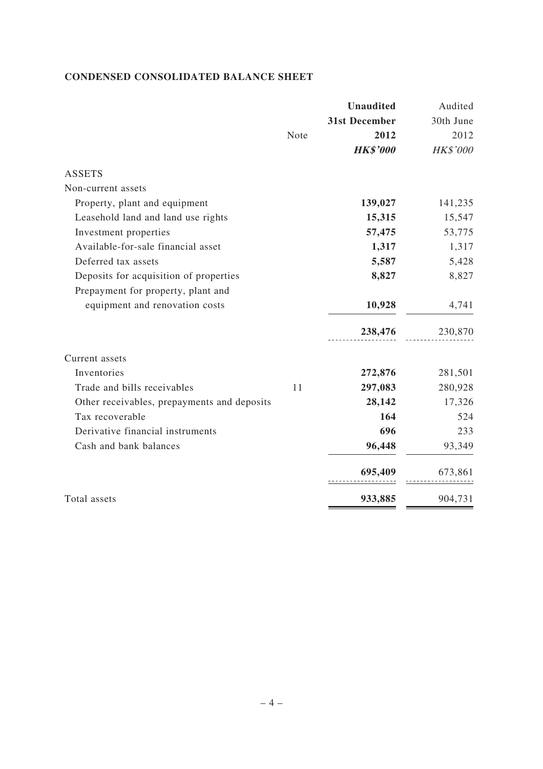# **CONDENSED CONSOLIDATED BALANCE SHEET**

|                                             |      | <b>Unaudited</b>     | Audited   |
|---------------------------------------------|------|----------------------|-----------|
|                                             |      | <b>31st December</b> | 30th June |
|                                             | Note | 2012                 | 2012      |
|                                             |      | <b>HK\$'000</b>      | HK\$'000  |
| <b>ASSETS</b>                               |      |                      |           |
| Non-current assets                          |      |                      |           |
| Property, plant and equipment               |      | 139,027              | 141,235   |
| Leasehold land and land use rights          |      | 15,315               | 15,547    |
| Investment properties                       |      | 57,475               | 53,775    |
| Available-for-sale financial asset          |      | 1,317                | 1,317     |
| Deferred tax assets                         |      | 5,587                | 5,428     |
| Deposits for acquisition of properties      |      | 8,827                | 8,827     |
| Prepayment for property, plant and          |      |                      |           |
| equipment and renovation costs              |      | 10,928               | 4,741     |
|                                             |      | 238,476              | 230,870   |
| Current assets                              |      |                      |           |
| Inventories                                 |      | 272,876              | 281,501   |
| Trade and bills receivables                 | 11   | 297,083              | 280,928   |
| Other receivables, prepayments and deposits |      | 28,142               | 17,326    |
| Tax recoverable                             |      | 164                  | 524       |
| Derivative financial instruments            |      | 696                  | 233       |
| Cash and bank balances                      |      | 96,448               | 93,349    |
|                                             |      | 695,409              | 673,861   |
| Total assets                                |      | 933,885              | 904,731   |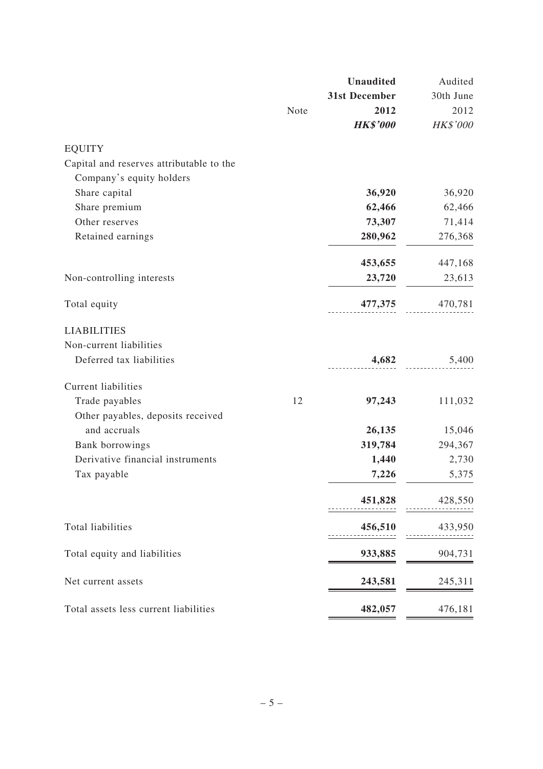|                                          |      | <b>Unaudited</b> | Audited   |
|------------------------------------------|------|------------------|-----------|
|                                          |      | 31st December    | 30th June |
|                                          | Note | 2012             | 2012      |
|                                          |      | <b>HK\$'000</b>  | HK\$'000  |
| <b>EQUITY</b>                            |      |                  |           |
| Capital and reserves attributable to the |      |                  |           |
| Company's equity holders                 |      |                  |           |
| Share capital                            |      | 36,920           | 36,920    |
| Share premium                            |      | 62,466           | 62,466    |
| Other reserves                           |      | 73,307           | 71,414    |
| Retained earnings                        |      | 280,962          | 276,368   |
|                                          |      | 453,655          | 447,168   |
| Non-controlling interests                |      | 23,720           | 23,613    |
| Total equity                             |      | 477,375          | 470,781   |
| <b>LIABILITIES</b>                       |      |                  |           |
| Non-current liabilities                  |      |                  |           |
| Deferred tax liabilities                 |      | 4,682            | 5,400     |
| <b>Current liabilities</b>               |      |                  |           |
| Trade payables                           | 12   | 97,243           | 111,032   |
| Other payables, deposits received        |      |                  |           |
| and accruals                             |      | 26,135           | 15,046    |
| Bank borrowings                          |      | 319,784          | 294,367   |
| Derivative financial instruments         |      | 1,440            | 2,730     |
| Tax payable                              |      | 7,226            | 5,375     |
|                                          |      | 451,828          | 428,550   |
| Total liabilities                        |      | 456,510          | 433,950   |
| Total equity and liabilities             |      | 933,885          | 904,731   |
| Net current assets                       |      | 243,581          | 245,311   |
| Total assets less current liabilities    |      | 482,057          | 476,181   |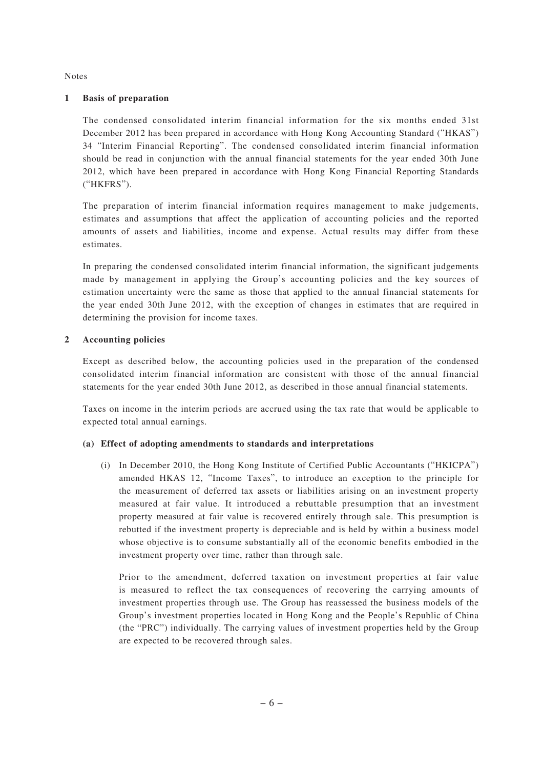#### Notes

#### **1 Basis of preparation**

 The condensed consolidated interim financial information for the six months ended 31st December 2012 has been prepared in accordance with Hong Kong Accounting Standard ("HKAS") 34 "Interim Financial Reporting". The condensed consolidated interim financial information should be read in conjunction with the annual financial statements for the year ended 30th June 2012, which have been prepared in accordance with Hong Kong Financial Reporting Standards ("HKFRS").

 The preparation of interim financial information requires management to make judgements, estimates and assumptions that affect the application of accounting policies and the reported amounts of assets and liabilities, income and expense. Actual results may differ from these estimates.

 In preparing the condensed consolidated interim financial information, the significant judgements made by management in applying the Group's accounting policies and the key sources of estimation uncertainty were the same as those that applied to the annual financial statements for the year ended 30th June 2012, with the exception of changes in estimates that are required in determining the provision for income taxes.

### **2 Accounting policies**

 Except as described below, the accounting policies used in the preparation of the condensed consolidated interim financial information are consistent with those of the annual financial statements for the year ended 30th June 2012, as described in those annual financial statements.

 Taxes on income in the interim periods are accrued using the tax rate that would be applicable to expected total annual earnings.

#### **(a) Effect of adopting amendments to standards and interpretations**

(i) In December 2010, the Hong Kong Institute of Certified Public Accountants ("HKICPA") amended HKAS 12, "Income Taxes", to introduce an exception to the principle for the measurement of deferred tax assets or liabilities arising on an investment property measured at fair value. It introduced a rebuttable presumption that an investment property measured at fair value is recovered entirely through sale. This presumption is rebutted if the investment property is depreciable and is held by within a business model whose objective is to consume substantially all of the economic benefits embodied in the investment property over time, rather than through sale.

 Prior to the amendment, deferred taxation on investment properties at fair value is measured to reflect the tax consequences of recovering the carrying amounts of investment properties through use. The Group has reassessed the business models of the Group's investment properties located in Hong Kong and the People's Republic of China (the "PRC") individually. The carrying values of investment properties held by the Group are expected to be recovered through sales.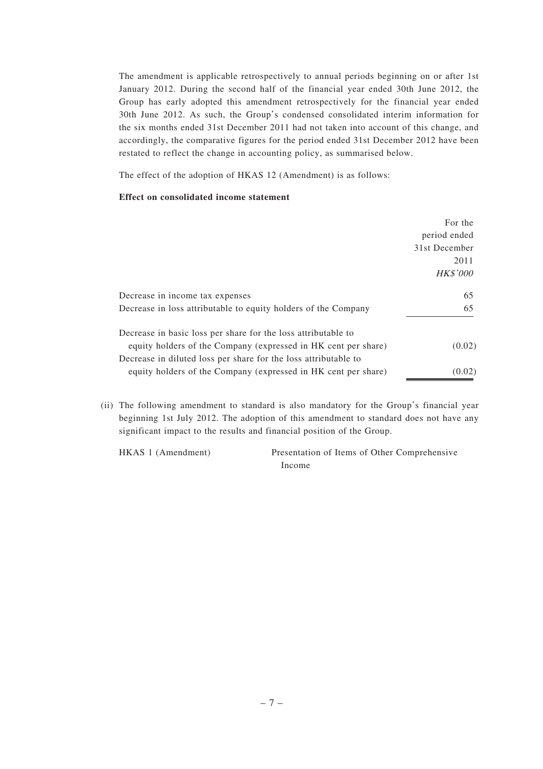The amendment is applicable retrospectively to annual periods beginning on or after 1st January 2012. During the second half of the financial year ended 30th June 2012, the Group has early adopted this amendment retrospectively for the financial year ended 30th June 2012. As such, the Group's condensed consolidated interim information for the six months ended 31st December 2011 had not taken into account of this change, and accordingly, the comparative figures for the period ended 31st December 2012 have been restated to reflect the change in accounting policy, as summarised below.

The effect of the adoption of HKAS 12 (Amendment) is as follows:

### **Effect on consolidated income statement**

|                                                                 | For the<br>period ended<br>31st December<br>2011<br><b>HK\$'000</b> |
|-----------------------------------------------------------------|---------------------------------------------------------------------|
| Decrease in income tax expenses                                 | 65                                                                  |
| Decrease in loss attributable to equity holders of the Company  | 65                                                                  |
| Decrease in basic loss per share for the loss attributable to   |                                                                     |
| equity holders of the Company (expressed in HK cent per share)  | (0.02)                                                              |
| Decrease in diluted loss per share for the loss attributable to |                                                                     |
| equity holders of the Company (expressed in HK cent per share)  | (0.02)                                                              |

(ii) The following amendment to standard is also mandatory for the Group's financial year beginning 1st July 2012. The adoption of this amendment to standard does not have any significant impact to the results and financial position of the Group.

HKAS 1 (Amendment) Presentation of Items of Other Comprehensive Income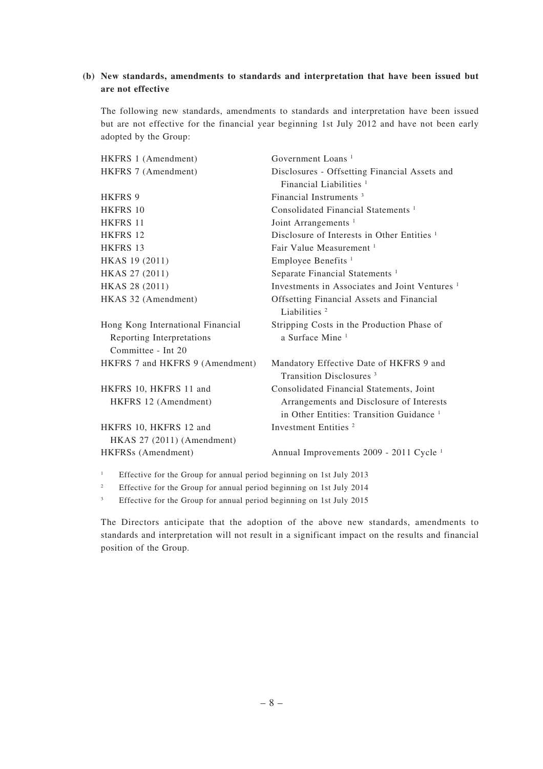### **(b) New standards, amendments to standards and interpretation that have been issued but are not effective**

 The following new standards, amendments to standards and interpretation have been issued but are not effective for the financial year beginning 1st July 2012 and have not been early adopted by the Group:

| HKFRS 1 (Amendment)                                                                  | Government Loans <sup>1</sup>                                                                   |
|--------------------------------------------------------------------------------------|-------------------------------------------------------------------------------------------------|
| HKFRS 7 (Amendment)                                                                  | Disclosures - Offsetting Financial Assets and                                                   |
|                                                                                      | Financial Liabilities $1$                                                                       |
| <b>HKFRS 9</b>                                                                       | Financial Instruments <sup>3</sup>                                                              |
| <b>HKFRS 10</b>                                                                      | Consolidated Financial Statements <sup>1</sup>                                                  |
| <b>HKFRS 11</b>                                                                      | Joint Arrangements <sup>1</sup>                                                                 |
| HKFRS 12                                                                             | Disclosure of Interests in Other Entities <sup>1</sup>                                          |
| <b>HKFRS 13</b>                                                                      | Fair Value Measurement <sup>1</sup>                                                             |
| HKAS 19 (2011)                                                                       | Employee Benefits <sup>1</sup>                                                                  |
| HKAS 27 (2011)                                                                       | Separate Financial Statements <sup>1</sup>                                                      |
| HKAS 28 (2011)                                                                       | Investments in Associates and Joint Ventures <sup>1</sup>                                       |
| HKAS 32 (Amendment)                                                                  | Offsetting Financial Assets and Financial<br>Liabilities <sup>2</sup>                           |
| Hong Kong International Financial<br>Reporting Interpretations<br>Committee - Int 20 | Stripping Costs in the Production Phase of<br>a Surface Mine <sup>1</sup>                       |
| HKFRS 7 and HKFRS 9 (Amendment)                                                      | Mandatory Effective Date of HKFRS 9 and<br>Transition Disclosures <sup>3</sup>                  |
| HKFRS 10, HKFRS 11 and                                                               | Consolidated Financial Statements, Joint                                                        |
| HKFRS 12 (Amendment)                                                                 | Arrangements and Disclosure of Interests<br>in Other Entities: Transition Guidance <sup>1</sup> |
| HKFRS 10, HKFRS 12 and                                                               | Investment Entities <sup>2</sup>                                                                |
| HKAS 27 (2011) (Amendment)                                                           |                                                                                                 |
| HKFRSs (Amendment)                                                                   | Annual Improvements 2009 - 2011 Cycle <sup>1</sup>                                              |
| $\mathbf{1}$<br>Effective for the Group for annual period beginning on 1st July 2013 |                                                                                                 |

2 Effective for the Group for annual period beginning on 1st July 2014

3 Effective for the Group for annual period beginning on 1st July 2015

 The Directors anticipate that the adoption of the above new standards, amendments to standards and interpretation will not result in a significant impact on the results and financial position of the Group.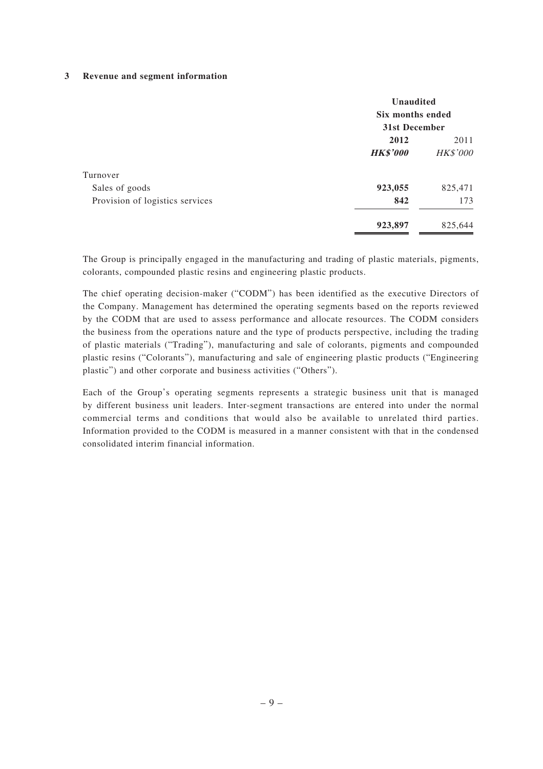#### **3 Revenue and segment information**

|                                 | Unaudited<br>Six months ended<br>31st December |                 |  |
|---------------------------------|------------------------------------------------|-----------------|--|
|                                 | 2012<br>2011                                   |                 |  |
|                                 | <b>HK\$'000</b>                                | <b>HK\$'000</b> |  |
| Turnover                        |                                                |                 |  |
| Sales of goods                  | 923,055                                        | 825,471         |  |
| Provision of logistics services | 842                                            | 173             |  |
|                                 | 923,897                                        | 825,644         |  |

 The Group is principally engaged in the manufacturing and trading of plastic materials, pigments, colorants, compounded plastic resins and engineering plastic products.

 The chief operating decision-maker ("CODM") has been identified as the executive Directors of the Company. Management has determined the operating segments based on the reports reviewed by the CODM that are used to assess performance and allocate resources. The CODM considers the business from the operations nature and the type of products perspective, including the trading of plastic materials ("Trading"), manufacturing and sale of colorants, pigments and compounded plastic resins ("Colorants"), manufacturing and sale of engineering plastic products ("Engineering plastic") and other corporate and business activities ("Others").

 Each of the Group's operating segments represents a strategic business unit that is managed by different business unit leaders. Inter-segment transactions are entered into under the normal commercial terms and conditions that would also be available to unrelated third parties. Information provided to the CODM is measured in a manner consistent with that in the condensed consolidated interim financial information.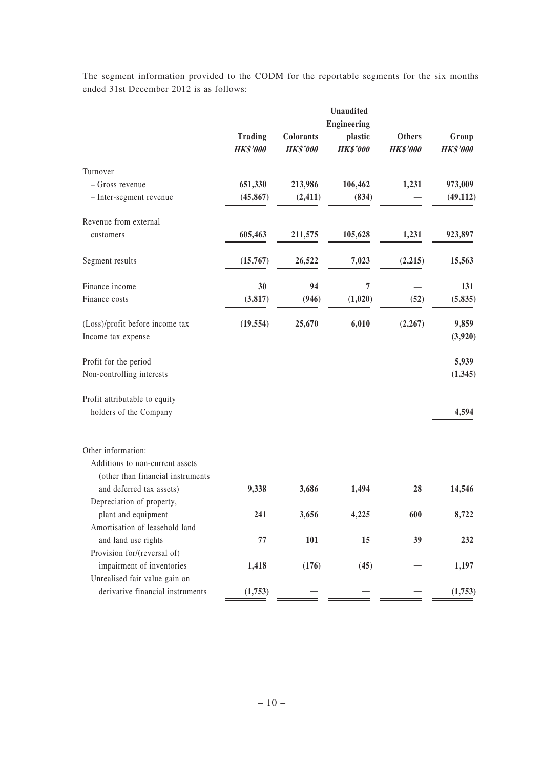The segment information provided to the CODM for the reportable segments for the six months ended 31st December 2012 is as follows:

|                                   |                                   |                              | <b>Unaudited</b>           |                                  |                          |
|-----------------------------------|-----------------------------------|------------------------------|----------------------------|----------------------------------|--------------------------|
|                                   |                                   |                              | Engineering                |                                  |                          |
|                                   | <b>Trading</b><br><b>HK\$'000</b> | Colorants<br><b>HK\$'000</b> | plastic<br><b>HK\$'000</b> | <b>Others</b><br><b>HK\$'000</b> | Group<br><b>HK\$'000</b> |
|                                   |                                   |                              |                            |                                  |                          |
| Turnover                          |                                   |                              |                            |                                  |                          |
| - Gross revenue                   | 651,330                           | 213,986                      | 106,462                    | 1,231                            | 973,009                  |
| - Inter-segment revenue           | (45, 867)                         | (2, 411)                     | (834)                      |                                  | (49, 112)                |
| Revenue from external             |                                   |                              |                            |                                  |                          |
| customers                         | 605,463                           | 211,575                      | 105,628                    | 1,231                            | 923,897                  |
| Segment results                   | (15,767)                          | 26,522                       | 7,023                      | (2, 215)                         | 15,563                   |
| Finance income                    | 30                                | 94                           | $\overline{7}$             |                                  | 131                      |
| Finance costs                     | (3, 817)                          | (946)                        | (1,020)                    | (52)                             | (5, 835)                 |
| (Loss)/profit before income tax   | (19, 554)                         | 25,670                       | 6,010                      | (2, 267)                         | 9,859                    |
| Income tax expense                |                                   |                              |                            |                                  | (3,920)                  |
| Profit for the period             |                                   |                              |                            |                                  | 5,939                    |
| Non-controlling interests         |                                   |                              |                            |                                  | (1, 345)                 |
| Profit attributable to equity     |                                   |                              |                            |                                  |                          |
| holders of the Company            |                                   |                              |                            |                                  | 4,594                    |
| Other information:                |                                   |                              |                            |                                  |                          |
| Additions to non-current assets   |                                   |                              |                            |                                  |                          |
| (other than financial instruments |                                   |                              |                            |                                  |                          |
| and deferred tax assets)          | 9,338                             | 3,686                        | 1,494                      | 28                               | 14,546                   |
| Depreciation of property,         |                                   |                              |                            |                                  |                          |
| plant and equipment               | 241                               | 3,656                        | 4,225                      | 600                              | 8,722                    |
| Amortisation of leasehold land    |                                   |                              |                            |                                  |                          |
| and land use rights               | 77                                | 101                          | 15                         | 39                               | 232                      |
| Provision for/(reversal of)       |                                   |                              |                            |                                  |                          |
| impairment of inventories         | 1,418                             | (176)                        | (45)                       |                                  | 1,197                    |
| Unrealised fair value gain on     |                                   |                              |                            |                                  |                          |
| derivative financial instruments  | (1,753)                           |                              |                            |                                  | (1,753)                  |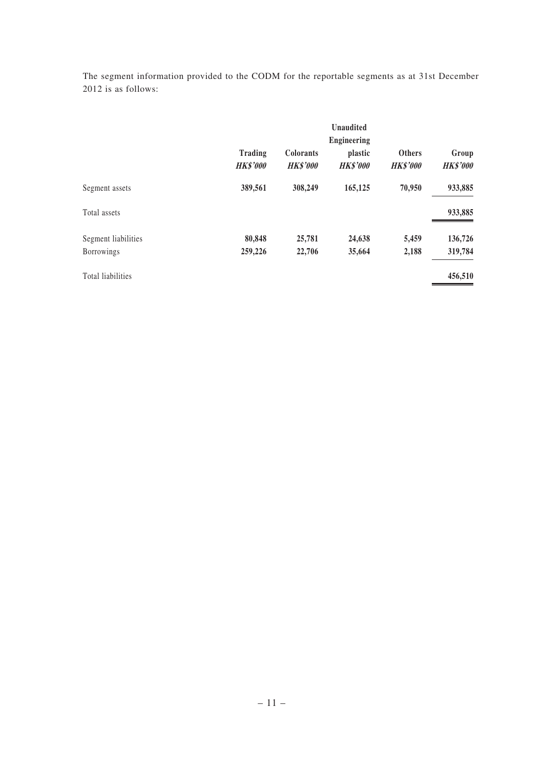The segment information provided to the CODM for the reportable segments as at 31st December 2012 is as follows:

|                     | <b>Unaudited</b><br><b>Engineering</b> |                                     |                            |                                  |                          |  |
|---------------------|----------------------------------------|-------------------------------------|----------------------------|----------------------------------|--------------------------|--|
|                     | Trading<br><b>HK\$'000</b>             | <b>Colorants</b><br><b>HK\$'000</b> | plastic<br><b>HK\$'000</b> | <b>Others</b><br><b>HK\$'000</b> | Group<br><b>HK\$'000</b> |  |
| Segment assets      | 389,561                                | 308,249                             | 165,125                    | 70,950                           | 933,885                  |  |
| Total assets        |                                        |                                     |                            |                                  | 933,885                  |  |
| Segment liabilities | 80,848                                 | 25,781                              | 24,638                     | 5,459                            | 136,726                  |  |
| <b>Borrowings</b>   | 259,226                                | 22,706                              | 35,664                     | 2,188                            | 319,784                  |  |
| Total liabilities   |                                        |                                     |                            |                                  | 456,510                  |  |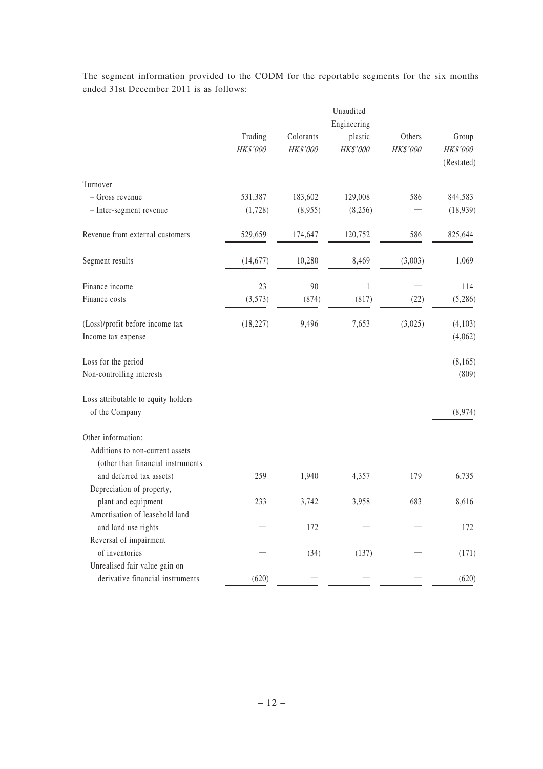The segment information provided to the CODM for the reportable segments for the six months ended 31st December 2011 is as follows:

|                                                                                            |                     |                       | Unaudited<br>Engineering |                    |                                 |
|--------------------------------------------------------------------------------------------|---------------------|-----------------------|--------------------------|--------------------|---------------------------------|
|                                                                                            | Trading<br>HK\$'000 | Colorants<br>HK\$'000 | plastic<br>HK\$'000      | Others<br>HK\$'000 | Group<br>HK\$'000<br>(Restated) |
| Turnover                                                                                   |                     |                       |                          |                    |                                 |
| - Gross revenue                                                                            | 531,387             | 183,602               | 129,008                  | 586                | 844,583                         |
| - Inter-segment revenue                                                                    | (1,728)             | (8,955)               | (8,256)                  |                    | (18,939)                        |
| Revenue from external customers                                                            | 529,659             | 174,647               | 120,752                  | 586                | 825,644                         |
| Segment results                                                                            | (14, 677)           | 10,280                | 8,469                    | (3,003)            | 1,069                           |
| Finance income                                                                             | 23                  | 90                    | $\mathbf{1}$             |                    | 114                             |
| Finance costs                                                                              | (3,573)             | (874)                 | (817)                    | (22)               | (5,286)                         |
| (Loss)/profit before income tax                                                            | (18, 227)           | 9,496                 | 7,653                    | (3,025)            | (4,103)                         |
| Income tax expense                                                                         |                     |                       |                          |                    | (4,062)                         |
| Loss for the period                                                                        |                     |                       |                          |                    | (8,165)                         |
| Non-controlling interests                                                                  |                     |                       |                          |                    | (809)                           |
| Loss attributable to equity holders<br>of the Company                                      |                     |                       |                          |                    | (8,974)                         |
|                                                                                            |                     |                       |                          |                    |                                 |
| Other information:<br>Additions to non-current assets<br>(other than financial instruments |                     |                       |                          |                    |                                 |
| and deferred tax assets)                                                                   | 259                 | 1,940                 | 4,357                    | 179                | 6,735                           |
| Depreciation of property,                                                                  |                     |                       |                          |                    |                                 |
| plant and equipment                                                                        | 233                 | 3,742                 | 3,958                    | 683                | 8,616                           |
| Amortisation of leasehold land                                                             |                     |                       |                          |                    |                                 |
| and land use rights                                                                        |                     | 172                   |                          |                    | 172                             |
| Reversal of impairment<br>of inventories                                                   |                     | (34)                  | (137)                    |                    | (171)                           |
| Unrealised fair value gain on                                                              |                     |                       |                          |                    |                                 |
| derivative financial instruments                                                           | (620)               |                       |                          |                    | (620)                           |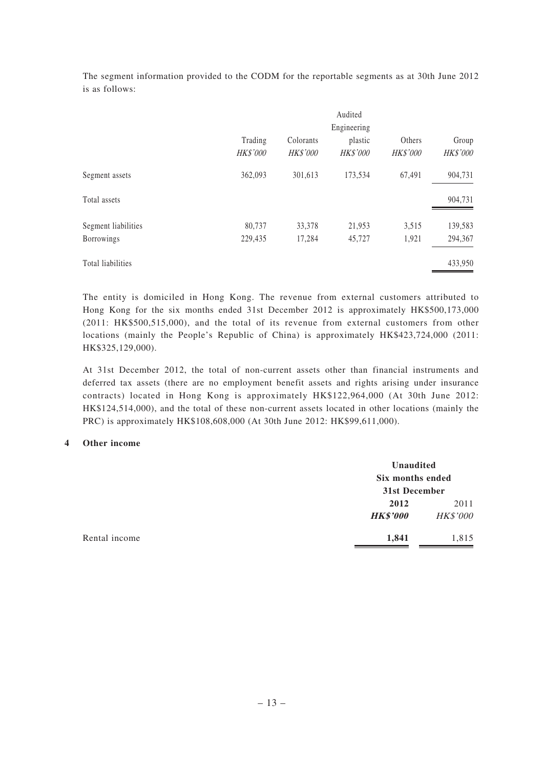The segment information provided to the CODM for the reportable segments as at 30th June 2012 is as follows:

|                     |                     |                       | Audited             |                    |                          |
|---------------------|---------------------|-----------------------|---------------------|--------------------|--------------------------|
|                     |                     |                       | Engineering         |                    |                          |
|                     | Trading<br>HK\$'000 | Colorants<br>HK\$'000 | plastic<br>HK\$'000 | Others<br>HK\$'000 | Group<br><b>HK\$'000</b> |
| Segment assets      | 362,093             | 301,613               | 173,534             | 67,491             | 904,731                  |
| Total assets        |                     |                       |                     |                    | 904,731                  |
| Segment liabilities | 80,737              | 33,378                | 21,953              | 3,515              | 139,583                  |
| Borrowings          | 229,435             | 17,284                | 45,727              | 1,921              | 294,367                  |
| Total liabilities   |                     |                       |                     |                    | 433,950                  |

 The entity is domiciled in Hong Kong. The revenue from external customers attributed to Hong Kong for the six months ended 31st December 2012 is approximately HK\$500,173,000 (2011: HK\$500,515,000), and the total of its revenue from external customers from other locations (mainly the People's Republic of China) is approximately HK\$423,724,000 (2011: HK\$325,129,000).

 At 31st December 2012, the total of non-current assets other than financial instruments and deferred tax assets (there are no employment benefit assets and rights arising under insurance contracts) located in Hong Kong is approximately HK\$122,964,000 (At 30th June 2012: HK\$124,514,000), and the total of these non-current assets located in other locations (mainly the PRC) is approximately HK\$108,608,000 (At 30th June 2012: HK\$99,611,000).

#### **4 Other income**

|               | Unaudited<br>Six months ended<br>31st December |                 |
|---------------|------------------------------------------------|-----------------|
|               |                                                |                 |
|               | 2012                                           | 2011            |
|               | <b>HK\$'000</b>                                | <b>HK\$'000</b> |
| Rental income | 1,841                                          | 1,815           |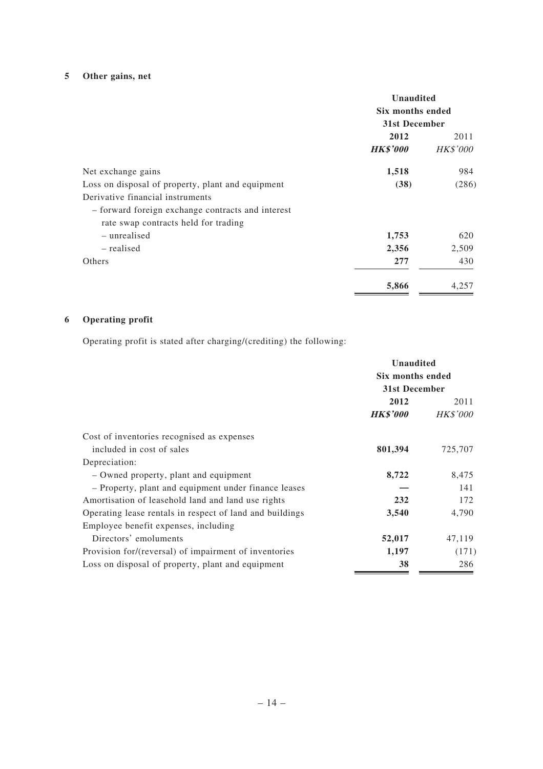# **5 Other gains, net**

|                                                                                                                               | <b>Unaudited</b><br>Six months ended<br>31st December |                         |
|-------------------------------------------------------------------------------------------------------------------------------|-------------------------------------------------------|-------------------------|
|                                                                                                                               | 2012<br><b>HK\$'000</b>                               | 2011<br><b>HK\$'000</b> |
| Net exchange gains                                                                                                            | 1,518                                                 | 984                     |
| Loss on disposal of property, plant and equipment                                                                             | (38)                                                  | (286)                   |
| Derivative financial instruments<br>- forward foreign exchange contracts and interest<br>rate swap contracts held for trading |                                                       |                         |
| – unrealised                                                                                                                  | 1,753                                                 | 620                     |
| – realised                                                                                                                    | 2,356                                                 | 2,509                   |
| Others                                                                                                                        | 277                                                   | 430                     |
|                                                                                                                               | 5,866                                                 | 4.257                   |

# **6 Operating profit**

Operating profit is stated after charging/(crediting) the following:

|                                                          | <b>Unaudited</b><br>Six months ended<br>31st December |                 |
|----------------------------------------------------------|-------------------------------------------------------|-----------------|
|                                                          |                                                       |                 |
|                                                          |                                                       |                 |
|                                                          | 2012                                                  | 2011            |
|                                                          | <b>HK\$'000</b>                                       | <b>HK\$'000</b> |
| Cost of inventories recognised as expenses               |                                                       |                 |
| included in cost of sales                                | 801,394                                               | 725,707         |
| Depreciation:                                            |                                                       |                 |
| – Owned property, plant and equipment                    | 8,722                                                 | 8,475           |
| - Property, plant and equipment under finance leases     |                                                       | 141             |
| Amortisation of leasehold land and land use rights       | 232                                                   | 172             |
| Operating lease rentals in respect of land and buildings | 3,540                                                 | 4,790           |
| Employee benefit expenses, including                     |                                                       |                 |
| Directors' emoluments                                    | 52,017                                                | 47,119          |
| Provision for/(reversal) of impairment of inventories    | 1,197                                                 | (171)           |
| Loss on disposal of property, plant and equipment        | 38                                                    | 286             |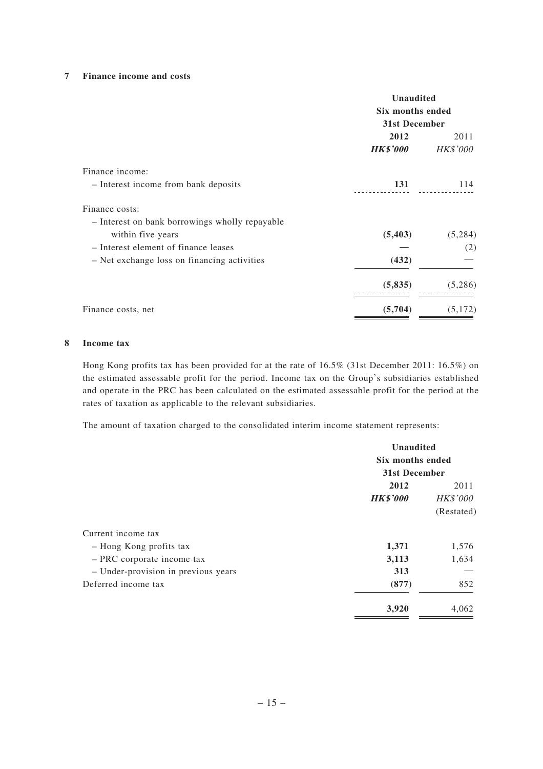### **7 Finance income and costs**

|                                                                  | <b>Unaudited</b><br>Six months ended<br>31st December |                         |
|------------------------------------------------------------------|-------------------------------------------------------|-------------------------|
|                                                                  | 2012<br><i><b>HK\$'000</b></i>                        | 2011<br><b>HK\$'000</b> |
| Finance income:                                                  |                                                       |                         |
| - Interest income from bank deposits                             | 131                                                   | 114                     |
| Finance costs:<br>- Interest on bank borrowings wholly repayable |                                                       |                         |
| within five years                                                | (5, 403)                                              | (5,284)                 |
| - Interest element of finance leases                             |                                                       | (2)                     |
| - Net exchange loss on financing activities                      | (432)                                                 |                         |
|                                                                  | (5,835)                                               | (5,286)                 |
| Finance costs, net                                               | (5,704)                                               | (5,172)                 |

#### **8 Income tax**

Hong Kong profits tax has been provided for at the rate of 16.5% (31st December 2011: 16.5%) on the estimated assessable profit for the period. Income tax on the Group's subsidiaries established and operate in the PRC has been calculated on the estimated assessable profit for the period at the rates of taxation as applicable to the relevant subsidiaries.

The amount of taxation charged to the consolidated interim income statement represents:

|                                     | Unaudited<br>Six months ended<br>31st December |                 |
|-------------------------------------|------------------------------------------------|-----------------|
|                                     |                                                |                 |
|                                     |                                                |                 |
|                                     | 2012                                           | 2011            |
|                                     | <b>HK\$'000</b>                                | <b>HK\$'000</b> |
|                                     |                                                | (Restated)      |
| Current income tax                  |                                                |                 |
| - Hong Kong profits tax             | 1,371                                          | 1,576           |
| - PRC corporate income tax          | 3,113                                          | 1,634           |
| - Under-provision in previous years | 313                                            |                 |
| Deferred income tax                 | (877)                                          | 852             |
|                                     | 3,920                                          | 4,062           |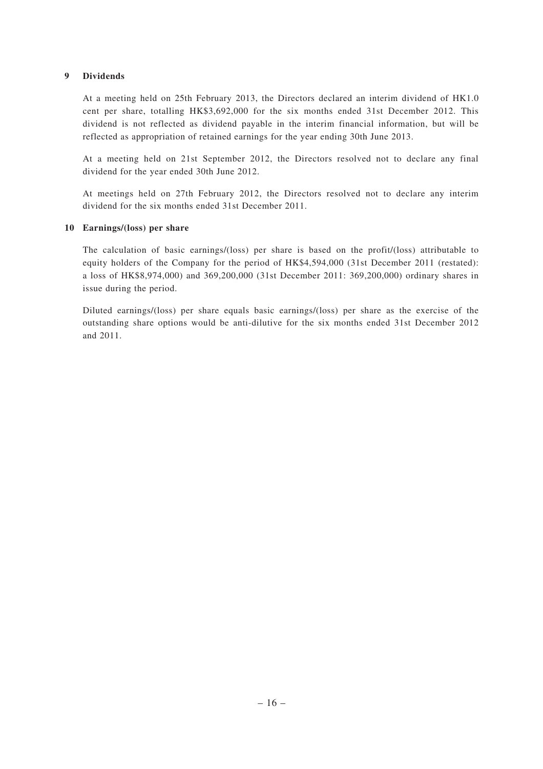### **9 Dividends**

At a meeting held on 25th February 2013, the Directors declared an interim dividend of HK1.0 cent per share, totalling HK\$3,692,000 for the six months ended 31st December 2012. This dividend is not reflected as dividend payable in the interim financial information, but will be reflected as appropriation of retained earnings for the year ending 30th June 2013.

At a meeting held on 21st September 2012, the Directors resolved not to declare any final dividend for the year ended 30th June 2012.

At meetings held on 27th February 2012, the Directors resolved not to declare any interim dividend for the six months ended 31st December 2011.

### **10 Earnings/(loss) per share**

The calculation of basic earnings/(loss) per share is based on the profit/(loss) attributable to equity holders of the Company for the period of HK\$4,594,000 (31st December 2011 (restated): a loss of HK\$8,974,000) and 369,200,000 (31st December 2011: 369,200,000) ordinary shares in issue during the period.

Diluted earnings/(loss) per share equals basic earnings/(loss) per share as the exercise of the outstanding share options would be anti-dilutive for the six months ended 31st December 2012 and 2011.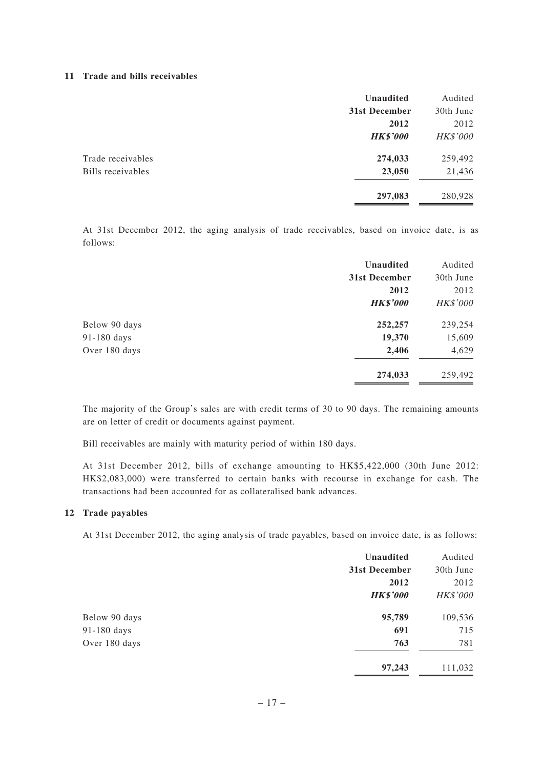#### **11 Trade and bills receivables**

| Audited         |
|-----------------|
| 30th June       |
| 2012            |
| <b>HK\$'000</b> |
| 259,492         |
| 21,436          |
| 280,928         |
|                 |

At 31st December 2012, the aging analysis of trade receivables, based on invoice date, is as follows:

| <b>Unaudited</b> | Audited         |
|------------------|-----------------|
| 31st December    | 30th June       |
| 2012             | 2012            |
| <b>HK\$'000</b>  | <b>HK\$'000</b> |
| 252,257          | 239,254         |
| 19,370           | 15,609          |
| 2,406            | 4,629           |
| 274,033          | 259,492         |
|                  |                 |

The majority of the Group's sales are with credit terms of 30 to 90 days. The remaining amounts are on letter of credit or documents against payment.

Bill receivables are mainly with maturity period of within 180 days.

At 31st December 2012, bills of exchange amounting to HK\$5,422,000 (30th June 2012: HK\$2,083,000) were transferred to certain banks with recourse in exchange for cash. The transactions had been accounted for as collateralised bank advances.

#### **12 Trade payables**

At 31st December 2012, the aging analysis of trade payables, based on invoice date, is as follows:

|               | Unaudited       | Audited         |
|---------------|-----------------|-----------------|
|               | 31st December   | 30th June       |
|               | 2012            | 2012            |
|               | <b>HK\$'000</b> | <b>HK\$'000</b> |
| Below 90 days | 95,789          | 109,536         |
| 91-180 days   | 691             | 715             |
| Over 180 days | 763             | 781             |
|               | 97,243          | 111,032         |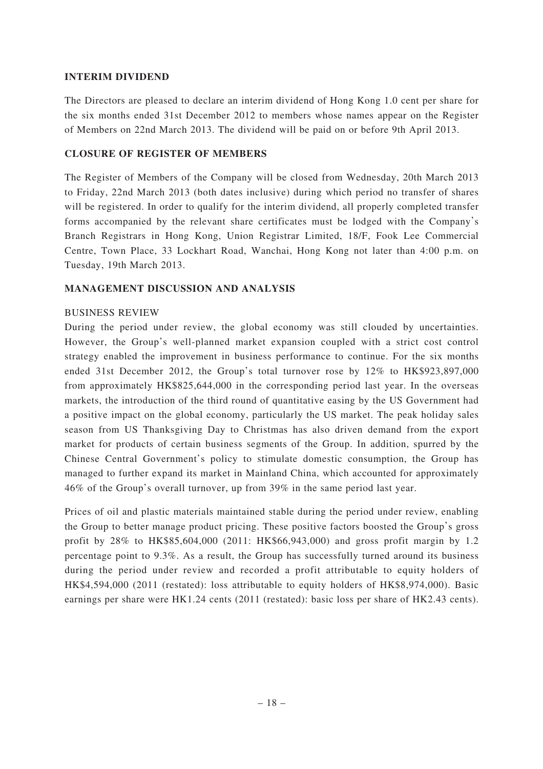### **INTERIM DIVIDEND**

The Directors are pleased to declare an interim dividend of Hong Kong 1.0 cent per share for the six months ended 31st December 2012 to members whose names appear on the Register of Members on 22nd March 2013. The dividend will be paid on or before 9th April 2013.

### **CLOSURE OF REGISTER OF MEMBERS**

The Register of Members of the Company will be closed from Wednesday, 20th March 2013 to Friday, 22nd March 2013 (both dates inclusive) during which period no transfer of shares will be registered. In order to qualify for the interim dividend, all properly completed transfer forms accompanied by the relevant share certificates must be lodged with the Company's Branch Registrars in Hong Kong, Union Registrar Limited, 18/F, Fook Lee Commercial Centre, Town Place, 33 Lockhart Road, Wanchai, Hong Kong not later than 4:00 p.m. on Tuesday, 19th March 2013.

# **MANAGEMENT DISCUSSION AND ANALYSIS**

### BUSINESS REVIEW

During the period under review, the global economy was still clouded by uncertainties. However, the Group's well-planned market expansion coupled with a strict cost control strategy enabled the improvement in business performance to continue. For the six months ended 31st December 2012, the Group's total turnover rose by 12% to HK\$923,897,000 from approximately HK\$825,644,000 in the corresponding period last year. In the overseas markets, the introduction of the third round of quantitative easing by the US Government had a positive impact on the global economy, particularly the US market. The peak holiday sales season from US Thanksgiving Day to Christmas has also driven demand from the export market for products of certain business segments of the Group. In addition, spurred by the Chinese Central Government's policy to stimulate domestic consumption, the Group has managed to further expand its market in Mainland China, which accounted for approximately 46% of the Group's overall turnover, up from 39% in the same period last year.

Prices of oil and plastic materials maintained stable during the period under review, enabling the Group to better manage product pricing. These positive factors boosted the Group's gross profit by 28% to HK\$85,604,000 (2011: HK\$66,943,000) and gross profit margin by 1.2 percentage point to 9.3%. As a result, the Group has successfully turned around its business during the period under review and recorded a profit attributable to equity holders of HK\$4,594,000 (2011 (restated): loss attributable to equity holders of HK\$8,974,000). Basic earnings per share were HK1.24 cents (2011 (restated): basic loss per share of HK2.43 cents).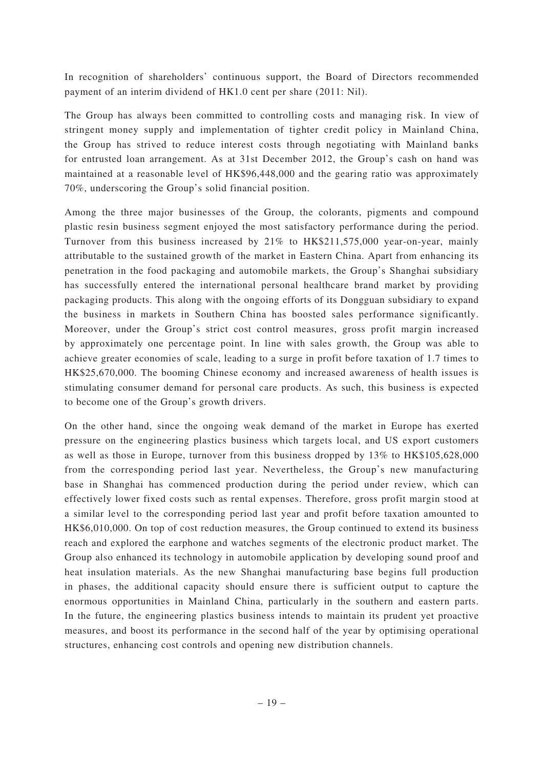In recognition of shareholders' continuous support, the Board of Directors recommended payment of an interim dividend of HK1.0 cent per share (2011: Nil).

The Group has always been committed to controlling costs and managing risk. In view of stringent money supply and implementation of tighter credit policy in Mainland China, the Group has strived to reduce interest costs through negotiating with Mainland banks for entrusted loan arrangement. As at 31st December 2012, the Group's cash on hand was maintained at a reasonable level of HK\$96,448,000 and the gearing ratio was approximately 70%, underscoring the Group's solid financial position.

Among the three major businesses of the Group, the colorants, pigments and compound plastic resin business segment enjoyed the most satisfactory performance during the period. Turnover from this business increased by 21% to HK\$211,575,000 year-on-year, mainly attributable to the sustained growth of the market in Eastern China. Apart from enhancing its penetration in the food packaging and automobile markets, the Group's Shanghai subsidiary has successfully entered the international personal healthcare brand market by providing packaging products. This along with the ongoing efforts of its Dongguan subsidiary to expand the business in markets in Southern China has boosted sales performance significantly. Moreover, under the Group's strict cost control measures, gross profit margin increased by approximately one percentage point. In line with sales growth, the Group was able to achieve greater economies of scale, leading to a surge in profit before taxation of 1.7 times to HK\$25,670,000. The booming Chinese economy and increased awareness of health issues is stimulating consumer demand for personal care products. As such, this business is expected to become one of the Group's growth drivers.

On the other hand, since the ongoing weak demand of the market in Europe has exerted pressure on the engineering plastics business which targets local, and US export customers as well as those in Europe, turnover from this business dropped by 13% to HK\$105,628,000 from the corresponding period last year. Nevertheless, the Group's new manufacturing base in Shanghai has commenced production during the period under review, which can effectively lower fixed costs such as rental expenses. Therefore, gross profit margin stood at a similar level to the corresponding period last year and profit before taxation amounted to HK\$6,010,000. On top of cost reduction measures, the Group continued to extend its business reach and explored the earphone and watches segments of the electronic product market. The Group also enhanced its technology in automobile application by developing sound proof and heat insulation materials. As the new Shanghai manufacturing base begins full production in phases, the additional capacity should ensure there is sufficient output to capture the enormous opportunities in Mainland China, particularly in the southern and eastern parts. In the future, the engineering plastics business intends to maintain its prudent yet proactive measures, and boost its performance in the second half of the year by optimising operational structures, enhancing cost controls and opening new distribution channels.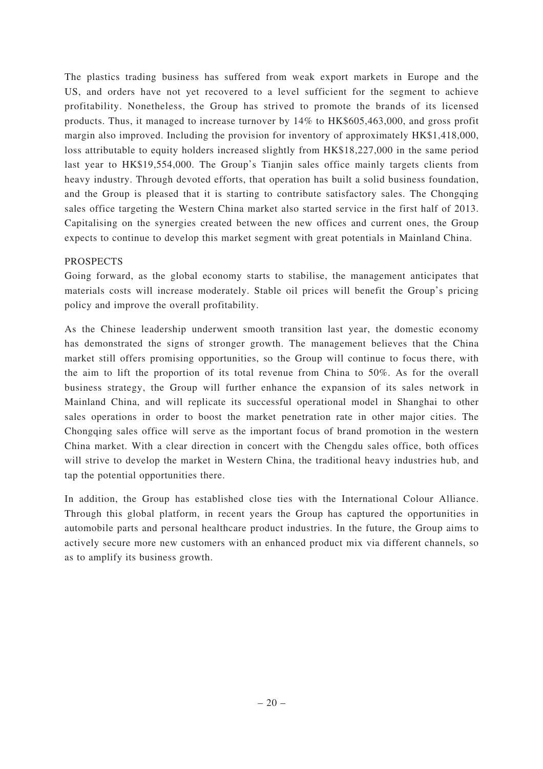The plastics trading business has suffered from weak export markets in Europe and the US, and orders have not yet recovered to a level sufficient for the segment to achieve profitability. Nonetheless, the Group has strived to promote the brands of its licensed products. Thus, it managed to increase turnover by 14% to HK\$605,463,000, and gross profit margin also improved. Including the provision for inventory of approximately HK\$1,418,000, loss attributable to equity holders increased slightly from HK\$18,227,000 in the same period last year to HK\$19,554,000. The Group's Tianjin sales office mainly targets clients from heavy industry. Through devoted efforts, that operation has built a solid business foundation, and the Group is pleased that it is starting to contribute satisfactory sales. The Chongqing sales office targeting the Western China market also started service in the first half of 2013. Capitalising on the synergies created between the new offices and current ones, the Group expects to continue to develop this market segment with great potentials in Mainland China.

### PROSPECTS

Going forward, as the global economy starts to stabilise, the management anticipates that materials costs will increase moderately. Stable oil prices will benefit the Group's pricing policy and improve the overall profitability.

As the Chinese leadership underwent smooth transition last year, the domestic economy has demonstrated the signs of stronger growth. The management believes that the China market still offers promising opportunities, so the Group will continue to focus there, with the aim to lift the proportion of its total revenue from China to 50%. As for the overall business strategy, the Group will further enhance the expansion of its sales network in Mainland China, and will replicate its successful operational model in Shanghai to other sales operations in order to boost the market penetration rate in other major cities. The Chongqing sales office will serve as the important focus of brand promotion in the western China market. With a clear direction in concert with the Chengdu sales office, both offices will strive to develop the market in Western China, the traditional heavy industries hub, and tap the potential opportunities there.

In addition, the Group has established close ties with the International Colour Alliance. Through this global platform, in recent years the Group has captured the opportunities in automobile parts and personal healthcare product industries. In the future, the Group aims to actively secure more new customers with an enhanced product mix via different channels, so as to amplify its business growth.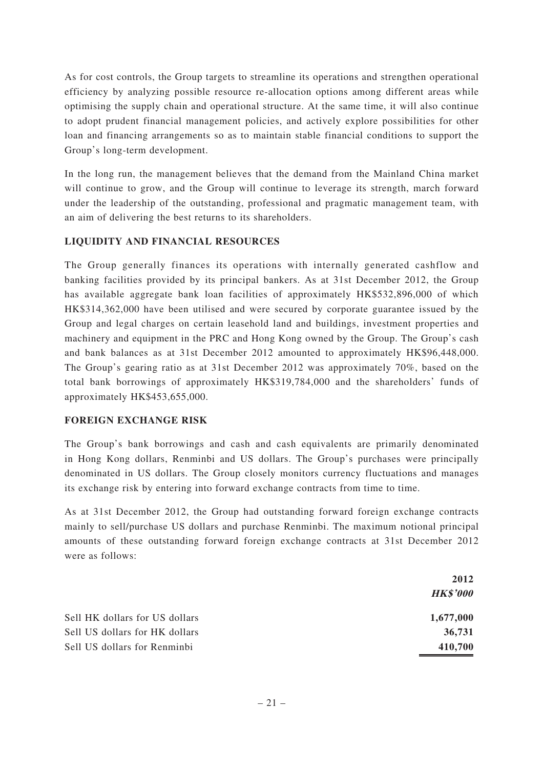As for cost controls, the Group targets to streamline its operations and strengthen operational efficiency by analyzing possible resource re-allocation options among different areas while optimising the supply chain and operational structure. At the same time, it will also continue to adopt prudent financial management policies, and actively explore possibilities for other loan and financing arrangements so as to maintain stable financial conditions to support the Group's long-term development.

In the long run, the management believes that the demand from the Mainland China market will continue to grow, and the Group will continue to leverage its strength, march forward under the leadership of the outstanding, professional and pragmatic management team, with an aim of delivering the best returns to its shareholders.

# **LIQUIDITY AND FINANCIAL RESOURCES**

The Group generally finances its operations with internally generated cashflow and banking facilities provided by its principal bankers. As at 31st December 2012, the Group has available aggregate bank loan facilities of approximately HK\$532,896,000 of which HK\$314,362,000 have been utilised and were secured by corporate guarantee issued by the Group and legal charges on certain leasehold land and buildings, investment properties and machinery and equipment in the PRC and Hong Kong owned by the Group. The Group's cash and bank balances as at 31st December 2012 amounted to approximately HK\$96,448,000. The Group's gearing ratio as at 31st December 2012 was approximately 70%, based on the total bank borrowings of approximately HK\$319,784,000 and the shareholders' funds of approximately HK\$453,655,000.

### **FOREIGN EXCHANGE RISK**

The Group's bank borrowings and cash and cash equivalents are primarily denominated in Hong Kong dollars, Renminbi and US dollars. The Group's purchases were principally denominated in US dollars. The Group closely monitors currency fluctuations and manages its exchange risk by entering into forward exchange contracts from time to time.

As at 31st December 2012, the Group had outstanding forward foreign exchange contracts mainly to sell/purchase US dollars and purchase Renminbi. The maximum notional principal amounts of these outstanding forward foreign exchange contracts at 31st December 2012 were as follows:

|                                | 2012            |  |
|--------------------------------|-----------------|--|
|                                | <b>HK\$'000</b> |  |
| Sell HK dollars for US dollars | 1,677,000       |  |
| Sell US dollars for HK dollars | 36,731          |  |
| Sell US dollars for Renminbi   | 410,700         |  |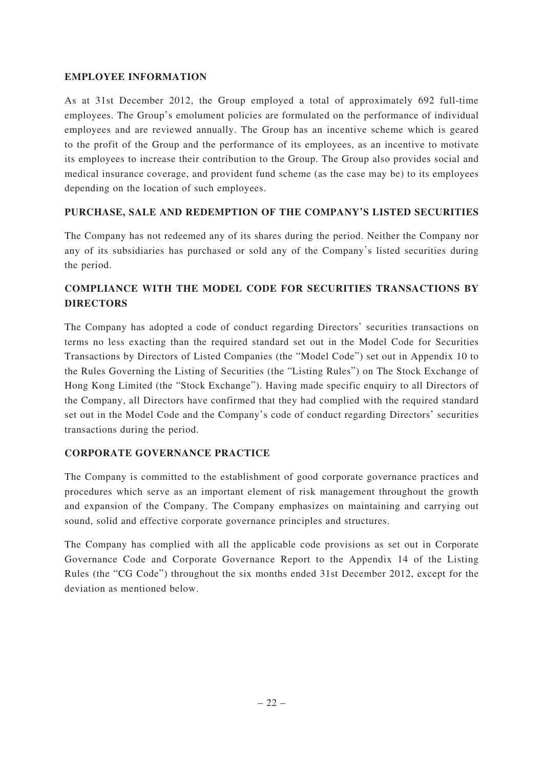### **EMPLOYEE INFORMATION**

As at 31st December 2012, the Group employed a total of approximately 692 full-time employees. The Group's emolument policies are formulated on the performance of individual employees and are reviewed annually. The Group has an incentive scheme which is geared to the profit of the Group and the performance of its employees, as an incentive to motivate its employees to increase their contribution to the Group. The Group also provides social and medical insurance coverage, and provident fund scheme (as the case may be) to its employees depending on the location of such employees.

# **PURCHASE, SALE AND REDEMPTION OF THE COMPANY'S LISTED SECURITIES**

The Company has not redeemed any of its shares during the period. Neither the Company nor any of its subsidiaries has purchased or sold any of the Company's listed securities during the period.

# **COMPLIANCE WITH THE MODEL CODE FOR SECURITIES TRANSACTIONS BY DIRECTORS**

The Company has adopted a code of conduct regarding Directors' securities transactions on terms no less exacting than the required standard set out in the Model Code for Securities Transactions by Directors of Listed Companies (the "Model Code") set out in Appendix 10 to the Rules Governing the Listing of Securities (the "Listing Rules") on The Stock Exchange of Hong Kong Limited (the "Stock Exchange"). Having made specific enquiry to all Directors of the Company, all Directors have confirmed that they had complied with the required standard set out in the Model Code and the Company's code of conduct regarding Directors' securities transactions during the period.

### **CORPORATE GOVERNANCE PRACTICE**

The Company is committed to the establishment of good corporate governance practices and procedures which serve as an important element of risk management throughout the growth and expansion of the Company. The Company emphasizes on maintaining and carrying out sound, solid and effective corporate governance principles and structures.

The Company has complied with all the applicable code provisions as set out in Corporate Governance Code and Corporate Governance Report to the Appendix 14 of the Listing Rules (the "CG Code") throughout the six months ended 31st December 2012, except for the deviation as mentioned below.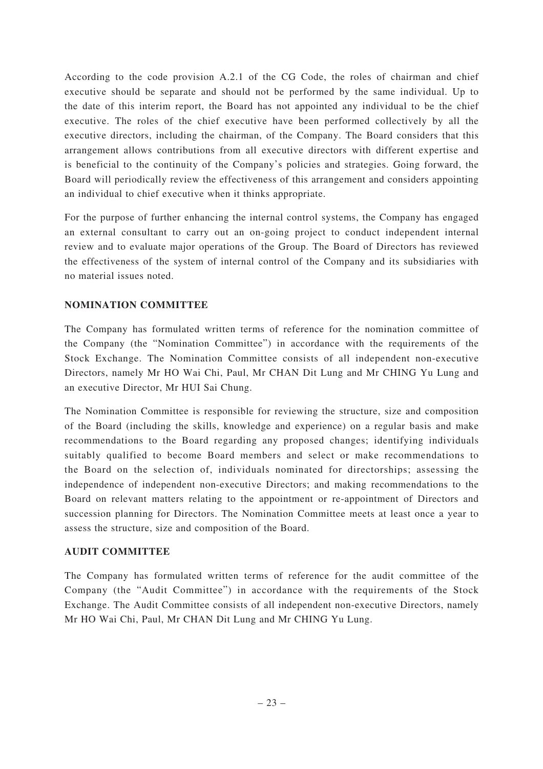According to the code provision A.2.1 of the CG Code, the roles of chairman and chief executive should be separate and should not be performed by the same individual. Up to the date of this interim report, the Board has not appointed any individual to be the chief executive. The roles of the chief executive have been performed collectively by all the executive directors, including the chairman, of the Company. The Board considers that this arrangement allows contributions from all executive directors with different expertise and is beneficial to the continuity of the Company's policies and strategies. Going forward, the Board will periodically review the effectiveness of this arrangement and considers appointing an individual to chief executive when it thinks appropriate.

For the purpose of further enhancing the internal control systems, the Company has engaged an external consultant to carry out an on-going project to conduct independent internal review and to evaluate major operations of the Group. The Board of Directors has reviewed the effectiveness of the system of internal control of the Company and its subsidiaries with no material issues noted.

### **NOMINATION COMMITTEE**

The Company has formulated written terms of reference for the nomination committee of the Company (the "Nomination Committee") in accordance with the requirements of the Stock Exchange. The Nomination Committee consists of all independent non-executive Directors, namely Mr HO Wai Chi, Paul, Mr CHAN Dit Lung and Mr CHING Yu Lung and an executive Director, Mr HUI Sai Chung.

The Nomination Committee is responsible for reviewing the structure, size and composition of the Board (including the skills, knowledge and experience) on a regular basis and make recommendations to the Board regarding any proposed changes; identifying individuals suitably qualified to become Board members and select or make recommendations to the Board on the selection of, individuals nominated for directorships; assessing the independence of independent non-executive Directors; and making recommendations to the Board on relevant matters relating to the appointment or re-appointment of Directors and succession planning for Directors. The Nomination Committee meets at least once a year to assess the structure, size and composition of the Board.

### **AUDIT COMMITTEE**

The Company has formulated written terms of reference for the audit committee of the Company (the "Audit Committee") in accordance with the requirements of the Stock Exchange. The Audit Committee consists of all independent non-executive Directors, namely Mr HO Wai Chi, Paul, Mr CHAN Dit Lung and Mr CHING Yu Lung.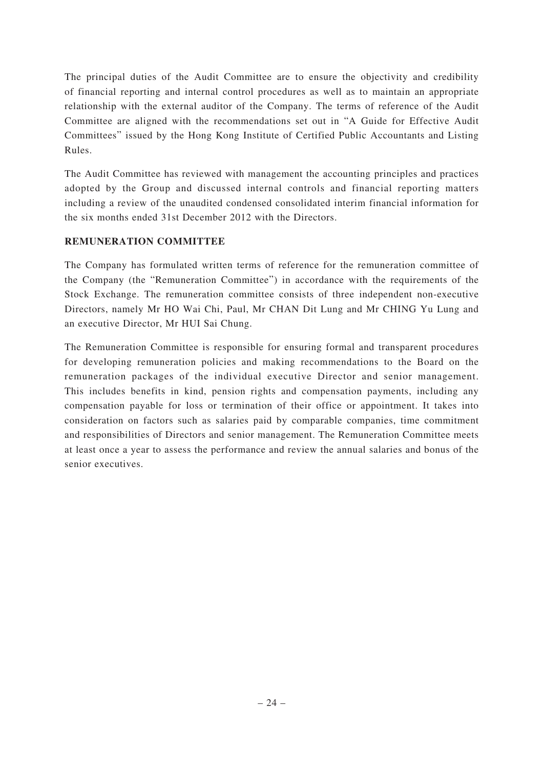The principal duties of the Audit Committee are to ensure the objectivity and credibility of financial reporting and internal control procedures as well as to maintain an appropriate relationship with the external auditor of the Company. The terms of reference of the Audit Committee are aligned with the recommendations set out in "A Guide for Effective Audit Committees" issued by the Hong Kong Institute of Certified Public Accountants and Listing Rules.

The Audit Committee has reviewed with management the accounting principles and practices adopted by the Group and discussed internal controls and financial reporting matters including a review of the unaudited condensed consolidated interim financial information for the six months ended 31st December 2012 with the Directors.

# **REMUNERATION COMMITTEE**

The Company has formulated written terms of reference for the remuneration committee of the Company (the "Remuneration Committee") in accordance with the requirements of the Stock Exchange. The remuneration committee consists of three independent non-executive Directors, namely Mr HO Wai Chi, Paul, Mr CHAN Dit Lung and Mr CHING Yu Lung and an executive Director, Mr HUI Sai Chung.

The Remuneration Committee is responsible for ensuring formal and transparent procedures for developing remuneration policies and making recommendations to the Board on the remuneration packages of the individual executive Director and senior management. This includes benefits in kind, pension rights and compensation payments, including any compensation payable for loss or termination of their office or appointment. It takes into consideration on factors such as salaries paid by comparable companies, time commitment and responsibilities of Directors and senior management. The Remuneration Committee meets at least once a year to assess the performance and review the annual salaries and bonus of the senior executives.